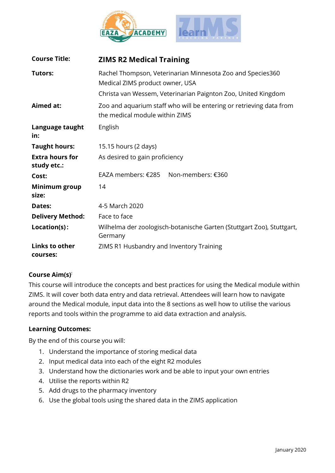

| <b>Course Title:</b>                  | <b>ZIMS R2 Medical Training</b>                                                                       |
|---------------------------------------|-------------------------------------------------------------------------------------------------------|
| Tutors:                               | Rachel Thompson, Veterinarian Minnesota Zoo and Species360<br>Medical ZIMS product owner, USA         |
|                                       | Christa van Wessem, Veterinarian Paignton Zoo, United Kingdom                                         |
| Aimed at:                             | Zoo and aquarium staff who will be entering or retrieving data from<br>the medical module within ZIMS |
| Language taught<br>in:                | English                                                                                               |
| <b>Taught hours:</b>                  | 15.15 hours (2 days)                                                                                  |
| <b>Extra hours for</b><br>study etc.: | As desired to gain proficiency                                                                        |
| Cost:                                 | EAZA members: €285<br>Non-members: €360                                                               |
| Minimum group<br>size:                | 14                                                                                                    |
| Dates:                                | 4-5 March 2020                                                                                        |
| <b>Delivery Method:</b>               | Face to face                                                                                          |
| Location(s):                          | Wilhelma der zoologisch-botanische Garten (Stuttgart Zoo), Stuttgart,<br>Germany                      |
| Links to other<br>courses:            | ZIMS R1 Husbandry and Inventory Training                                                              |

# **Course Aim(s) :**

This course will introduce the concepts and best practices for using the Medical module within ZIMS. It will cover both data entry and data retrieval. Attendees will learn how to navigate around the Medical module, input data into the 8 sections as well how to utilise the various reports and tools within the programme to aid data extraction and analysis.

## **Learning Outcomes:**

By the end of this course you will:

- 1. Understand the importance of storing medical data
- 2. Input medical data into each of the eight R2 modules
- 3. Understand how the dictionaries work and be able to input your own entries
- 4. Utilise the reports within R2
- 5. Add drugs to the pharmacy inventory
- 6. Use the global tools using the shared data in the ZIMS application